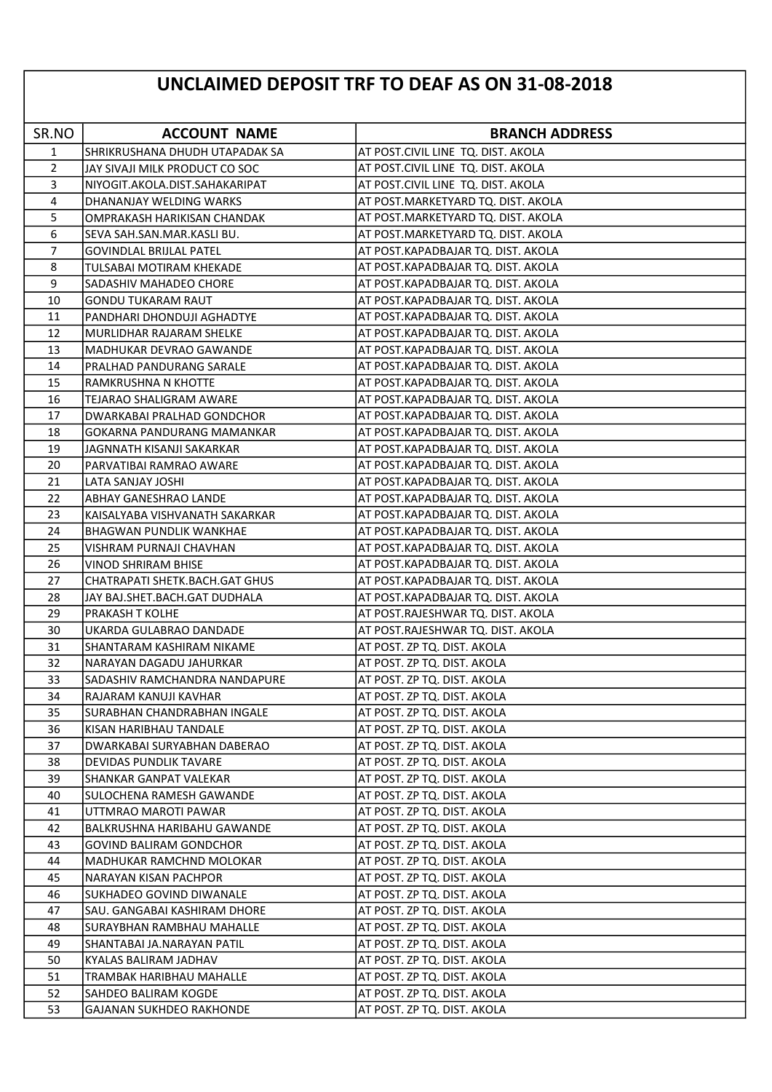## UNCLAIMED DEPOSIT TRF TO DEAF AS ON 31-08-2018

| SR.NO          | <b>ACCOUNT NAME</b>             | <b>BRANCH ADDRESS</b>               |
|----------------|---------------------------------|-------------------------------------|
| $\mathbf{1}$   | SHRIKRUSHANA DHUDH UTAPADAK SA  | AT POST.CIVIL LINE TQ. DIST. AKOLA  |
| $\overline{2}$ | JAY SIVAJI MILK PRODUCT CO SOC  | AT POST.CIVIL LINE TQ. DIST. AKOLA  |
| 3              | NIYOGIT.AKOLA.DIST.SAHAKARIPAT  | AT POST.CIVIL LINE TQ. DIST. AKOLA  |
| 4              | DHANANJAY WELDING WARKS         | AT POST. MARKETYARD TQ. DIST. AKOLA |
| 5              | OMPRAKASH HARIKISAN CHANDAK     | AT POST.MARKETYARD TQ. DIST. AKOLA  |
| 6              | SEVA SAH.SAN.MAR.KASLI BU.      | AT POST. MARKETYARD TQ. DIST. AKOLA |
| 7              | GOVINDLAL BRIJLAL PATEL         | AT POST.KAPADBAJAR TQ. DIST. AKOLA  |
| 8              | TULSABAI MOTIRAM KHEKADE        | AT POST.KAPADBAJAR TQ. DIST. AKOLA  |
| 9              | SADASHIV MAHADEO CHORE          | AT POST.KAPADBAJAR TQ. DIST. AKOLA  |
| 10             | <b>GONDU TUKARAM RAUT</b>       | AT POST.KAPADBAJAR TQ. DIST. AKOLA  |
| 11             | PANDHARI DHONDUJI AGHADTYE      | AT POST.KAPADBAJAR TQ. DIST. AKOLA  |
| 12             | MURLIDHAR RAJARAM SHELKE        | AT POST.KAPADBAJAR TQ. DIST. AKOLA  |
| 13             | MADHUKAR DEVRAO GAWANDE         | AT POST.KAPADBAJAR TQ. DIST. AKOLA  |
| 14             | PRALHAD PANDURANG SARALE        | AT POST.KAPADBAJAR TQ. DIST. AKOLA  |
| 15             | RAMKRUSHNA N KHOTTE             | AT POST.KAPADBAJAR TQ. DIST. AKOLA  |
| 16             | TEJARAO SHALIGRAM AWARE         | AT POST.KAPADBAJAR TQ. DIST. AKOLA  |
| 17             | DWARKABAI PRALHAD GONDCHOR      | AT POST.KAPADBAJAR TQ. DIST. AKOLA  |
| 18             | GOKARNA PANDURANG MAMANKAR      | AT POST.KAPADBAJAR TQ. DIST. AKOLA  |
| 19             | JAGNNATH KISANJI SAKARKAR       | AT POST.KAPADBAJAR TQ. DIST. AKOLA  |
| 20             | PARVATIBAI RAMRAO AWARE         | AT POST.KAPADBAJAR TQ. DIST. AKOLA  |
| 21             | LATA SANJAY JOSHI               | AT POST.KAPADBAJAR TQ. DIST. AKOLA  |
| 22             | ABHAY GANESHRAO LANDE           | AT POST.KAPADBAJAR TQ. DIST. AKOLA  |
| 23             | KAISALYABA VISHVANATH SAKARKAR  | AT POST.KAPADBAJAR TQ. DIST. AKOLA  |
| 24             | BHAGWAN PUNDLIK WANKHAE         | AT POST.KAPADBAJAR TQ. DIST. AKOLA  |
| 25             | VISHRAM PURNAJI CHAVHAN         | AT POST.KAPADBAJAR TQ. DIST. AKOLA  |
| 26             | VINOD SHRIRAM BHISE             | AT POST.KAPADBAJAR TQ. DIST. AKOLA  |
| 27             | CHATRAPATI SHETK.BACH.GAT GHUS  | AT POST.KAPADBAJAR TQ. DIST. AKOLA  |
| 28             | JAY BAJ.SHET.BACH.GAT DUDHALA   | AT POST.KAPADBAJAR TQ. DIST. AKOLA  |
| 29             | PRAKASH T KOLHE                 | AT POST.RAJESHWAR TQ. DIST. AKOLA   |
| 30             | UKARDA GULABRAO DANDADE         | AT POST.RAJESHWAR TQ. DIST. AKOLA   |
| 31             | SHANTARAM KASHIRAM NIKAME       | AT POST. ZP TQ. DIST. AKOLA         |
| 32             | NARAYAN DAGADU JAHURKAR         | AT POST. ZP TQ. DIST. AKOLA         |
| 33             | SADASHIV RAMCHANDRA NANDAPURE   | AT POST. ZP TQ. DIST. AKOLA         |
| 34             | RAJARAM KANUJI KAVHAR           | AT POST. ZP TQ. DIST. AKOLA         |
| 35             | SURABHAN CHANDRABHAN INGALE     | AT POST. ZP TQ. DIST. AKOLA         |
| 36             | KISAN HARIBHAU TANDALE          | AT POST. ZP TQ. DIST. AKOLA         |
| 37             | DWARKABAI SURYABHAN DABERAO     | AT POST. ZP TQ. DIST. AKOLA         |
| 38             | DEVIDAS PUNDLIK TAVARE          | AT POST. ZP TQ. DIST. AKOLA         |
| 39             | SHANKAR GANPAT VALEKAR          | AT POST. ZP TQ. DIST. AKOLA         |
| 40             | SULOCHENA RAMESH GAWANDE        | AT POST. ZP TQ. DIST. AKOLA         |
| 41             | UTTMRAO MAROTI PAWAR            | AT POST. ZP TQ. DIST. AKOLA         |
| 42             | BALKRUSHNA HARIBAHU GAWANDE     | AT POST. ZP TQ. DIST. AKOLA         |
| 43             | GOVIND BALIRAM GONDCHOR         | AT POST. ZP TQ. DIST. AKOLA         |
| 44             | MADHUKAR RAMCHND MOLOKAR        | AT POST. ZP TQ. DIST. AKOLA         |
| 45             | NARAYAN KISAN PACHPOR           | AT POST. ZP TQ. DIST. AKOLA         |
| 46             | SUKHADEO GOVIND DIWANALE        | AT POST. ZP TQ. DIST. AKOLA         |
| 47             | SAU. GANGABAI KASHIRAM DHORE    | AT POST. ZP TQ. DIST. AKOLA         |
| 48             | SURAYBHAN RAMBHAU MAHALLE       | AT POST. ZP TQ. DIST. AKOLA         |
| 49             | SHANTABAI JA.NARAYAN PATIL      | AT POST. ZP TQ. DIST. AKOLA         |
| 50             | KYALAS BALIRAM JADHAV           | AT POST. ZP TQ. DIST. AKOLA         |
| 51             | TRAMBAK HARIBHAU MAHALLE        | AT POST. ZP TQ. DIST. AKOLA         |
| 52             | SAHDEO BALIRAM KOGDE            | AT POST. ZP TQ. DIST. AKOLA         |
| 53             | <b>GAJANAN SUKHDEO RAKHONDE</b> | AT POST. ZP TQ. DIST. AKOLA         |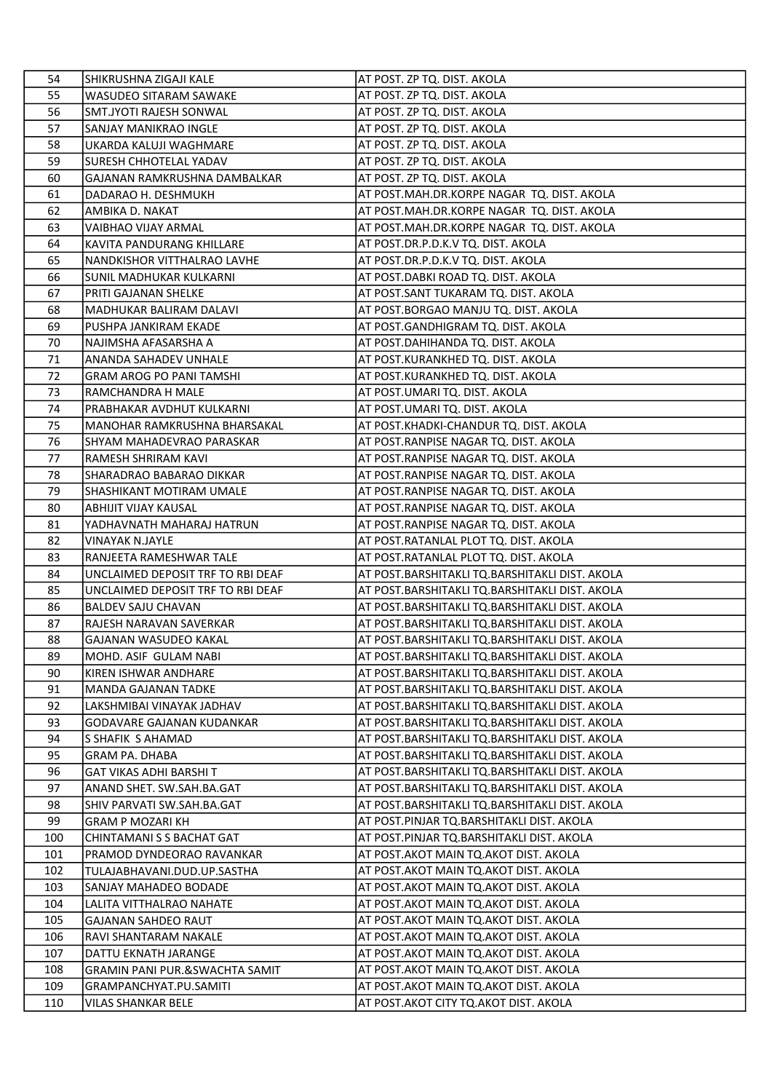| 54  | SHIKRUSHNA ZIGAJI KALE                    | AT POST. ZP TQ. DIST. AKOLA                    |
|-----|-------------------------------------------|------------------------------------------------|
| 55  | WASUDEO SITARAM SAWAKE                    | AT POST. ZP TQ. DIST. AKOLA                    |
| 56  | SMT.JYOTI RAJESH SONWAL                   | AT POST. ZP TQ. DIST. AKOLA                    |
| 57  | SANJAY MANIKRAO INGLE                     | AT POST. ZP TQ. DIST. AKOLA                    |
| 58  | UKARDA KALUJI WAGHMARE                    | AT POST. ZP TQ. DIST. AKOLA                    |
| 59  | SURESH CHHOTELAL YADAV                    | AT POST. ZP TQ. DIST. AKOLA                    |
| 60  | GAJANAN RAMKRUSHNA DAMBALKAR              | AT POST. ZP TQ. DIST. AKOLA                    |
| 61  | DADARAO H. DESHMUKH                       | AT POST.MAH.DR.KORPE NAGAR TQ. DIST. AKOLA     |
| 62  | AMBIKA D. NAKAT                           | AT POST.MAH.DR.KORPE NAGAR TQ. DIST. AKOLA     |
| 63  | VAIBHAO VIJAY ARMAL                       | AT POST.MAH.DR.KORPE NAGAR TQ. DIST. AKOLA     |
| 64  | KAVITA PANDURANG KHILLARE                 | AT POST.DR.P.D.K.V TQ. DIST. AKOLA             |
| 65  | NANDKISHOR VITTHALRAO LAVHE               | AT POST.DR.P.D.K.V TQ. DIST. AKOLA             |
| 66  | SUNIL MADHUKAR KULKARNI                   | AT POST.DABKI ROAD TQ. DIST. AKOLA             |
| 67  | PRITI GAJANAN SHELKE                      | AT POST.SANT TUKARAM TQ. DIST. AKOLA           |
| 68  | MADHUKAR BALIRAM DALAVI                   | AT POST.BORGAO MANJU TQ. DIST. AKOLA           |
| 69  | PUSHPA JANKIRAM EKADE                     | AT POST.GANDHIGRAM TQ. DIST. AKOLA             |
| 70  | NAJIMSHA AFASARSHA A                      | AT POST.DAHIHANDA TQ. DIST. AKOLA              |
| 71  | ANANDA SAHADEV UNHALE                     | AT POST.KURANKHED TQ. DIST. AKOLA              |
| 72  | <b>GRAM AROG PO PANI TAMSHI</b>           | AT POST.KURANKHED TQ. DIST. AKOLA              |
| 73  | RAMCHANDRA H MALE                         | AT POST.UMARI TQ. DIST. AKOLA                  |
| 74  | PRABHAKAR AVDHUT KULKARNI                 | AT POST.UMARI TQ. DIST. AKOLA                  |
| 75  | MANOHAR RAMKRUSHNA BHARSAKAL              | AT POST.KHADKI-CHANDUR TQ. DIST. AKOLA         |
| 76  | SHYAM MAHADEVRAO PARASKAR                 | AT POST.RANPISE NAGAR TQ. DIST. AKOLA          |
| 77  | RAMESH SHRIRAM KAVI                       | AT POST.RANPISE NAGAR TQ. DIST. AKOLA          |
| 78  | SHARADRAO BABARAO DIKKAR                  | AT POST.RANPISE NAGAR TQ. DIST. AKOLA          |
| 79  | SHASHIKANT MOTIRAM UMALE                  | AT POST.RANPISE NAGAR TQ. DIST. AKOLA          |
| 80  | ABHIJIT VIJAY KAUSAL                      | AT POST.RANPISE NAGAR TQ. DIST. AKOLA          |
| 81  | YADHAVNATH MAHARAJ HATRUN                 | AT POST.RANPISE NAGAR TQ. DIST. AKOLA          |
| 82  | VINAYAK N.JAYLE                           | AT POST.RATANLAL PLOT TQ. DIST. AKOLA          |
| 83  | RANJEETA RAMESHWAR TALE                   | AT POST.RATANLAL PLOT TQ. DIST. AKOLA          |
| 84  | UNCLAIMED DEPOSIT TRF TO RBI DEAF         | AT POST.BARSHITAKLI TQ.BARSHITAKLI DIST. AKOLA |
| 85  | UNCLAIMED DEPOSIT TRF TO RBI DEAF         | AT POST.BARSHITAKLI TQ.BARSHITAKLI DIST. AKOLA |
| 86  | <b>BALDEV SAJU CHAVAN</b>                 | AT POST.BARSHITAKLI TQ.BARSHITAKLI DIST. AKOLA |
| 87  | RAJESH NARAVAN SAVERKAR                   | AT POST.BARSHITAKLI TQ.BARSHITAKLI DIST. AKOLA |
| 88  | GAJANAN WASUDEO KAKAL                     | AT POST.BARSHITAKLI TQ.BARSHITAKLI DIST. AKOLA |
| 89  | MOHD. ASIF GULAM NABI                     | AT POST.BARSHITAKLI TQ.BARSHITAKLI DIST. AKOLA |
| 90  | KIREN ISHWAR ANDHARE                      | AT POST.BARSHITAKLI TQ.BARSHITAKLI DIST. AKOLA |
| 91  | <b>MANDA GAJANAN TADKE</b>                | AT POST.BARSHITAKLI TQ.BARSHITAKLI DIST. AKOLA |
| 92  | LAKSHMIBAI VINAYAK JADHAV                 | AT POST.BARSHITAKLI TQ.BARSHITAKLI DIST. AKOLA |
| 93  | GODAVARE GAJANAN KUDANKAR                 | AT POST.BARSHITAKLI TO.BARSHITAKLI DIST. AKOLA |
| 94  | S SHAFIK S AHAMAD                         | AT POST.BARSHITAKLI TQ.BARSHITAKLI DIST. AKOLA |
| 95  | <b>GRAM PA. DHABA</b>                     | AT POST.BARSHITAKLI TO.BARSHITAKLI DIST. AKOLA |
| 96  | GAT VIKAS ADHI BARSHI T                   | AT POST.BARSHITAKLI TQ.BARSHITAKLI DIST. AKOLA |
| 97  | ANAND SHET. SW.SAH.BA.GAT                 | AT POST.BARSHITAKLI TQ.BARSHITAKLI DIST. AKOLA |
| 98  | SHIV PARVATI SW.SAH.BA.GAT                | AT POST.BARSHITAKLI TQ.BARSHITAKLI DIST. AKOLA |
| 99  | GRAM P MOZARI KH                          | AT POST.PINJAR TQ.BARSHITAKLI DIST. AKOLA      |
| 100 | CHINTAMANI S S BACHAT GAT                 | AT POST.PINJAR TQ.BARSHITAKLI DIST. AKOLA      |
| 101 | PRAMOD DYNDEORAO RAVANKAR                 | AT POST. AKOT MAIN TQ. AKOT DIST. AKOLA        |
| 102 | TULAJABHAVANI.DUD.UP.SASTHA               | AT POST. AKOT MAIN TQ. AKOT DIST. AKOLA        |
| 103 | SANJAY MAHADEO BODADE                     | AT POST. AKOT MAIN TQ. AKOT DIST. AKOLA        |
| 104 | LALITA VITTHALRAO NAHATE                  | AT POST. AKOT MAIN TQ. AKOT DIST. AKOLA        |
| 105 | GAJANAN SAHDEO RAUT                       | AT POST. AKOT MAIN TQ. AKOT DIST. AKOLA        |
| 106 | RAVI SHANTARAM NAKALE                     | AT POST. AKOT MAIN TQ. AKOT DIST. AKOLA        |
| 107 | DATTU EKNATH JARANGE                      | AT POST.AKOT MAIN TQ.AKOT DIST. AKOLA          |
| 108 | <b>GRAMIN PANI PUR.&amp;SWACHTA SAMIT</b> | AT POST.AKOT MAIN TQ.AKOT DIST. AKOLA          |
| 109 | GRAMPANCHYAT.PU.SAMITI                    | AT POST.AKOT MAIN TQ.AKOT DIST. AKOLA          |
| 110 | <b>VILAS SHANKAR BELE</b>                 | AT POST. AKOT CITY TQ. AKOT DIST. AKOLA        |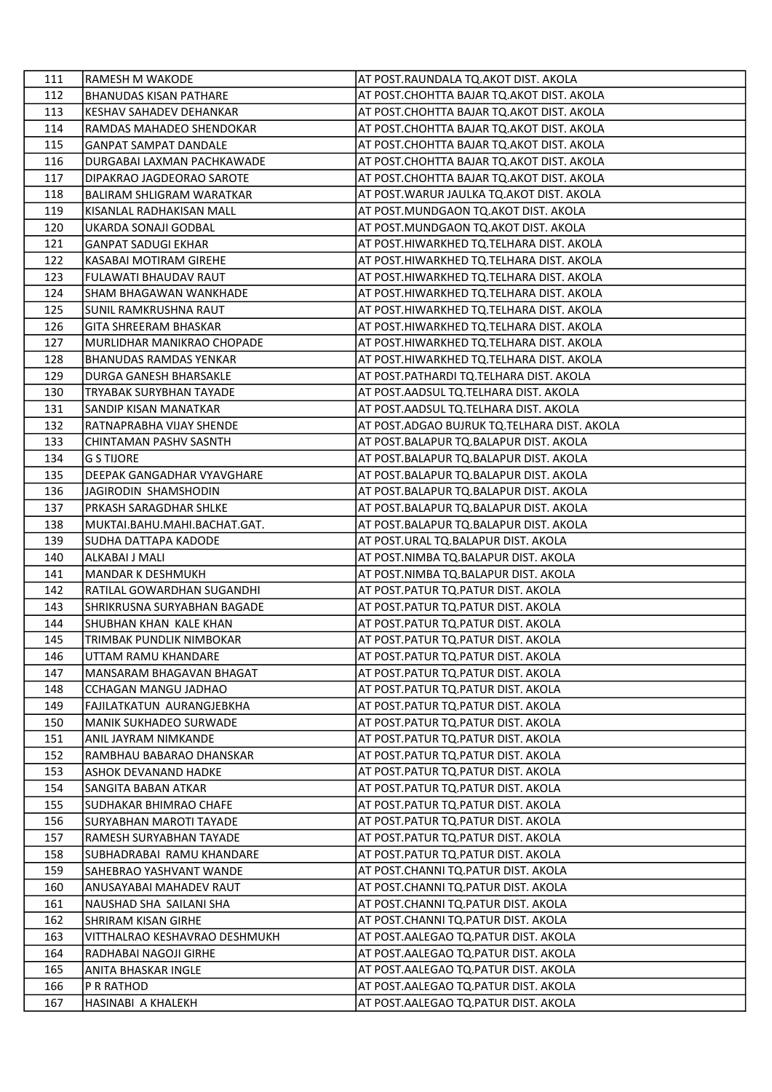| 111        | RAMESH M WAKODE                                          | AT POST.RAUNDALA TQ.AKOT DIST. AKOLA                                      |
|------------|----------------------------------------------------------|---------------------------------------------------------------------------|
| 112        | <b>BHANUDAS KISAN PATHARE</b>                            | AT POST.CHOHTTA BAJAR TQ.AKOT DIST. AKOLA                                 |
| 113        | KESHAV SAHADEV DEHANKAR                                  | AT POST.CHOHTTA BAJAR TQ.AKOT DIST. AKOLA                                 |
| 114        | RAMDAS MAHADEO SHENDOKAR                                 | AT POST.CHOHTTA BAJAR TQ.AKOT DIST. AKOLA                                 |
| 115        | <b>GANPAT SAMPAT DANDALE</b>                             | AT POST.CHOHTTA BAJAR TQ.AKOT DIST. AKOLA                                 |
| 116        | DURGABAI LAXMAN PACHKAWADE                               | AT POST.CHOHTTA BAJAR TQ.AKOT DIST. AKOLA                                 |
| 117        | DIPAKRAO JAGDEORAO SAROTE                                | AT POST.CHOHTTA BAJAR TQ.AKOT DIST. AKOLA                                 |
| 118        | <b>BALIRAM SHLIGRAM WARATKAR</b>                         | AT POST.WARUR JAULKA TQ.AKOT DIST. AKOLA                                  |
| 119        | KISANLAL RADHAKISAN MALL                                 | AT POST.MUNDGAON TQ.AKOT DIST. AKOLA                                      |
| 120        | UKARDA SONAJI GODBAL                                     | AT POST.MUNDGAON TQ.AKOT DIST. AKOLA                                      |
| 121        | <b>GANPAT SADUGI EKHAR</b>                               | AT POST.HIWARKHED TQ.TELHARA DIST. AKOLA                                  |
| 122        | KASABAI MOTIRAM GIREHE                                   | AT POST.HIWARKHED TQ.TELHARA DIST. AKOLA                                  |
| 123        | FULAWATI BHAUDAV RAUT                                    | AT POST.HIWARKHED TQ.TELHARA DIST. AKOLA                                  |
| 124        | SHAM BHAGAWAN WANKHADE                                   | AT POST.HIWARKHED TQ.TELHARA DIST. AKOLA                                  |
| 125        | SUNIL RAMKRUSHNA RAUT                                    | AT POST.HIWARKHED TQ.TELHARA DIST. AKOLA                                  |
| 126        | GITA SHREERAM BHASKAR                                    | AT POST.HIWARKHED TQ.TELHARA DIST. AKOLA                                  |
| 127        | MURLIDHAR MANIKRAO CHOPADE                               | AT POST.HIWARKHED TQ.TELHARA DIST. AKOLA                                  |
| 128        | <b>BHANUDAS RAMDAS YENKAR</b>                            | AT POST.HIWARKHED TQ.TELHARA DIST. AKOLA                                  |
| 129        | DURGA GANESH BHARSAKLE                                   | AT POST.PATHARDI TQ.TELHARA DIST. AKOLA                                   |
| 130        | TRYABAK SURYBHAN TAYADE                                  | AT POST.AADSUL TQ.TELHARA DIST. AKOLA                                     |
| 131        | SANDIP KISAN MANATKAR                                    | AT POST.AADSUL TQ.TELHARA DIST. AKOLA                                     |
| 132        | RATNAPRABHA VIJAY SHENDE                                 | AT POST.ADGAO BUJRUK TQ.TELHARA DIST. AKOLA                               |
| 133        | CHINTAMAN PASHV SASNTH                                   | AT POST.BALAPUR TQ.BALAPUR DIST. AKOLA                                    |
| 134        | G S TIJORE                                               | AT POST.BALAPUR TQ.BALAPUR DIST. AKOLA                                    |
| 135        | DEEPAK GANGADHAR VYAVGHARE                               | AT POST.BALAPUR TQ.BALAPUR DIST. AKOLA                                    |
| 136        | JAGIRODIN SHAMSHODIN                                     | AT POST.BALAPUR TQ.BALAPUR DIST. AKOLA                                    |
| 137        | PRKASH SARAGDHAR SHLKE                                   | AT POST. BALAPUR TQ. BALAPUR DIST. AKOLA                                  |
| 138        | MUKTAI.BAHU.MAHI.BACHAT.GAT.                             | AT POST.BALAPUR TQ.BALAPUR DIST. AKOLA                                    |
| 139        | SUDHA DATTAPA KADODE                                     | AT POST.URAL TQ.BALAPUR DIST. AKOLA                                       |
| 140        | ALKABAI J MALI                                           | AT POST.NIMBA TQ.BALAPUR DIST. AKOLA                                      |
| 141        | <b>MANDAR K DESHMUKH</b>                                 | AT POST.NIMBA TQ.BALAPUR DIST. AKOLA                                      |
| 142        | RATILAL GOWARDHAN SUGANDHI                               | AT POST.PATUR TQ.PATUR DIST. AKOLA                                        |
| 143        | SHRIKRUSNA SURYABHAN BAGADE                              | AT POST.PATUR TQ.PATUR DIST. AKOLA                                        |
| 144        | SHUBHAN KHAN KALE KHAN                                   | AT POST.PATUR TQ.PATUR DIST. AKOLA                                        |
| 145        | TRIMBAK PUNDLIK NIMBOKAR                                 | AT POST.PATUR TQ.PATUR DIST. AKOLA                                        |
| 146        | UTTAM RAMU KHANDARE                                      | AT POST.PATUR TQ.PATUR DIST. AKOLA                                        |
| 147        | MANSARAM BHAGAVAN BHAGAT                                 | AT POST.PATUR TQ.PATUR DIST. AKOLA                                        |
| 148        | <b>CCHAGAN MANGU JADHAO</b>                              | AT POST.PATUR TQ.PATUR DIST. AKOLA                                        |
| 149        | FAJILATKATUN AURANGJEBKHA                                | AT POST.PATUR TQ.PATUR DIST. AKOLA                                        |
| 150        | <b>MANIK SUKHADEO SURWADE</b>                            | AT POST.PATUR TQ.PATUR DIST. AKOLA                                        |
| 151<br>152 | ANIL JAYRAM NIMKANDE                                     | AT POST.PATUR TQ.PATUR DIST. AKOLA<br>AT POST.PATUR TQ.PATUR DIST. AKOLA  |
| 153        | RAMBHAU BABARAO DHANSKAR<br>ASHOK DEVANAND HADKE         | AT POST.PATUR TQ.PATUR DIST. AKOLA                                        |
| 154        | SANGITA BABAN ATKAR                                      | AT POST.PATUR TQ.PATUR DIST. AKOLA                                        |
| 155        |                                                          | AT POST.PATUR TQ.PATUR DIST. AKOLA                                        |
| 156        | SUDHAKAR BHIMRAO CHAFE<br><b>SURYABHAN MAROTI TAYADE</b> | AT POST.PATUR TQ.PATUR DIST. AKOLA                                        |
| 157        | RAMESH SURYABHAN TAYADE                                  |                                                                           |
| 158        | SUBHADRABAI RAMU KHANDARE                                | AT POST.PATUR TQ.PATUR DIST. AKOLA<br> AT POST.PATUR TQ.PATUR DIST. AKOLA |
| 159        | SAHEBRAO YASHVANT WANDE                                  | AT POST.CHANNI TQ.PATUR DIST. AKOLA                                       |
| 160        | ANUSAYABAI MAHADEV RAUT                                  | AT POST.CHANNI TQ.PATUR DIST. AKOLA                                       |
| 161        | NAUSHAD SHA SAILANI SHA                                  | AT POST.CHANNI TQ.PATUR DIST. AKOLA                                       |
| 162        | SHRIRAM KISAN GIRHE                                      | AT POST.CHANNI TQ.PATUR DIST. AKOLA                                       |
| 163        | VITTHALRAO KESHAVRAO DESHMUKH                            | AT POST.AALEGAO TQ.PATUR DIST. AKOLA                                      |
| 164        | RADHABAI NAGOJI GIRHE                                    | AT POST.AALEGAO TQ.PATUR DIST. AKOLA                                      |
| 165        | ANITA BHASKAR INGLE                                      | AT POST.AALEGAO TQ.PATUR DIST. AKOLA                                      |
| 166        | P R RATHOD                                               | AT POST.AALEGAO TQ.PATUR DIST. AKOLA                                      |
| 167        | HASINABI A KHALEKH                                       | AT POST.AALEGAO TQ.PATUR DIST. AKOLA                                      |
|            |                                                          |                                                                           |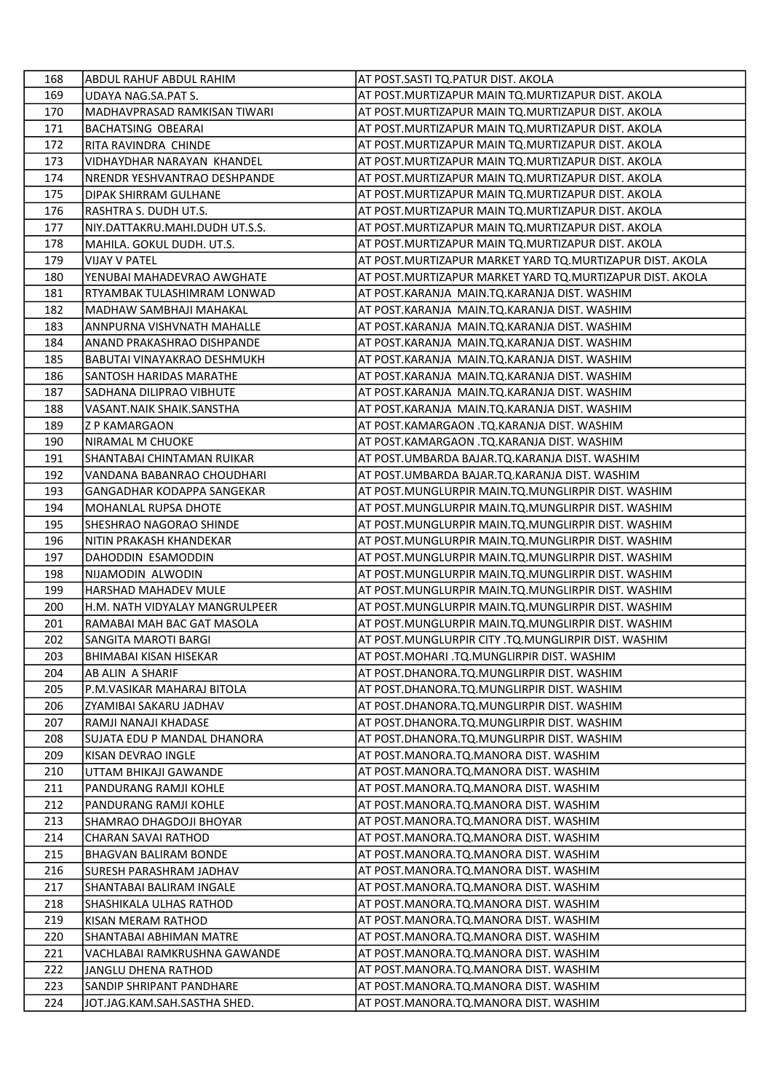| 168        | ABDUL RAHUF ABDUL RAHIM                               | AT POST.SASTI TQ.PATUR DIST. AKOLA                                                                |
|------------|-------------------------------------------------------|---------------------------------------------------------------------------------------------------|
| 169        | UDAYA NAG.SA.PAT S.                                   | AT POST. MURTIZAPUR MAIN TQ. MURTIZAPUR DIST. AKOLA                                               |
| 170        | MADHAVPRASAD RAMKISAN TIWARI                          | AT POST. MURTIZAPUR MAIN TQ. MURTIZAPUR DIST. AKOLA                                               |
| 171        | <b>BACHATSING OBEARAI</b>                             | AT POST. MURTIZAPUR MAIN TQ. MURTIZAPUR DIST. AKOLA                                               |
| 172        | RITA RAVINDRA CHINDE                                  | AT POST.MURTIZAPUR MAIN TQ.MURTIZAPUR DIST. AKOLA                                                 |
| 173        | VIDHAYDHAR NARAYAN KHANDEL                            | AT POST.MURTIZAPUR MAIN TQ.MURTIZAPUR DIST. AKOLA                                                 |
| 174        | NRENDR YESHVANTRAO DESHPANDE                          | AT POST. MURTIZAPUR MAIN TQ. MURTIZAPUR DIST. AKOLA                                               |
| 175        | DIPAK SHIRRAM GULHANE                                 | AT POST. MURTIZAPUR MAIN TQ. MURTIZAPUR DIST. AKOLA                                               |
| 176        | RASHTRA S. DUDH UT.S.                                 | AT POST.MURTIZAPUR MAIN TQ.MURTIZAPUR DIST. AKOLA                                                 |
| 177        | NIY.DATTAKRU.MAHI.DUDH UT.S.S.                        | AT POST. MURTIZAPUR MAIN TQ. MURTIZAPUR DIST. AKOLA                                               |
| 178        | MAHILA. GOKUL DUDH. UT.S.                             | AT POST. MURTIZAPUR MAIN TQ. MURTIZAPUR DIST. AKOLA                                               |
| 179        | VIJAY V PATEL                                         | AT POST. MURTIZAPUR MARKET YARD TQ. MURTIZAPUR DIST. AKOLA                                        |
| 180        | YENUBAI MAHADEVRAO AWGHATE                            | AT POST.MURTIZAPUR MARKET YARD TQ.MURTIZAPUR DIST. AKOLA                                          |
| 181        | RTYAMBAK TULASHIMRAM LONWAD                           | AT POST.KARANJA MAIN.TQ.KARANJA DIST. WASHIM                                                      |
| 182        | MADHAW SAMBHAJI MAHAKAL                               | AT POST.KARANJA MAIN.TQ.KARANJA DIST. WASHIM                                                      |
| 183        | lannpurna vishvnath Mahalle                           | AT POST.KARANJA MAIN.TQ.KARANJA DIST. WASHIM                                                      |
| 184        | ANAND PRAKASHRAO DISHPANDE                            | AT POST.KARANJA MAIN.TQ.KARANJA DIST. WASHIM                                                      |
| 185        | <b>BABUTAI VINAYAKRAO DESHMUKH</b>                    | AT POST.KARANJA MAIN.TQ.KARANJA DIST. WASHIM                                                      |
| 186        | SANTOSH HARIDAS MARATHE                               | AT POST.KARANJA MAIN.TQ.KARANJA DIST. WASHIM                                                      |
| 187        | SADHANA DILIPRAO VIBHUTE                              | AT POST.KARANJA MAIN.TQ.KARANJA DIST. WASHIM                                                      |
| 188        | VASANT.NAIK SHAIK.SANSTHA                             | AT POST.KARANJA MAIN.TQ.KARANJA DIST. WASHIM                                                      |
| 189        | <b>Z P KAMARGAON</b>                                  | AT POST.KAMARGAON .TQ.KARANJA DIST. WASHIM                                                        |
| 190        | NIRAMAL M CHUOKE                                      | AT POST.KAMARGAON .TQ.KARANJA DIST. WASHIM                                                        |
| 191        | SHANTABAI CHINTAMAN RUIKAR                            | AT POST.UMBARDA BAJAR.TQ.KARANJA DIST. WASHIM                                                     |
| 192        | VANDANA BABANRAO CHOUDHARI                            | AT POST.UMBARDA BAJAR.TQ.KARANJA DIST. WASHIM                                                     |
| 193        | GANGADHAR KODAPPA SANGEKAR                            | AT POST.MUNGLURPIR MAIN.TQ.MUNGLIRPIR DIST. WASHIM                                                |
| 194        | MOHANLAL RUPSA DHOTE                                  | AT POST.MUNGLURPIR MAIN.TQ.MUNGLIRPIR DIST. WASHIM                                                |
| 195        | SHESHRAO NAGORAO SHINDE                               | AT POST.MUNGLURPIR MAIN.TQ.MUNGLIRPIR DIST. WASHIM                                                |
| 196        | NITIN PRAKASH KHANDEKAR                               | AT POST. MUNGLURPIR MAIN. TQ. MUNGLIRPIR DIST. WASHIM                                             |
| 197        | DAHODDIN ESAMODDIN                                    | AT POST.MUNGLURPIR MAIN.TQ.MUNGLIRPIR DIST. WASHIM                                                |
| 198        | NIJAMODIN ALWODIN                                     | AT POST.MUNGLURPIR MAIN.TQ.MUNGLIRPIR DIST. WASHIM                                                |
| 199        | HARSHAD MAHADEV MULE                                  | AT POST.MUNGLURPIR MAIN.TQ.MUNGLIRPIR DIST. WASHIM                                                |
| 200        | H.M. NATH VIDYALAY MANGRULPEER                        | AT POST.MUNGLURPIR MAIN.TQ.MUNGLIRPIR DIST. WASHIM                                                |
| 201        | RAMABAI MAH BAC GAT MASOLA                            | AT POST.MUNGLURPIR MAIN.TQ.MUNGLIRPIR DIST. WASHIM                                                |
| 202<br>203 | SANGITA MAROTI BARGI<br><b>BHIMABAI KISAN HISEKAR</b> | AT POST.MUNGLURPIR CITY .TQ.MUNGLIRPIR DIST. WASHIM<br>AT POST.MOHARI .TQ.MUNGLIRPIR DIST. WASHIM |
|            |                                                       | AT POST.DHANORA.TQ.MUNGLIRPIR DIST. WASHIM                                                        |
| 204<br>205 | AB ALIN A SHARIF<br>P.M.VASIKAR MAHARAJ BITOLA        | AT POST.DHANORA.TQ.MUNGLIRPIR DIST. WASHIM                                                        |
| 206        | ZYAMIBAI SAKARU JADHAV                                | AT POST.DHANORA.TQ.MUNGLIRPIR DIST. WASHIM                                                        |
| 207        | RAMJI NANAJI KHADASE                                  | AT POST.DHANORA.TQ.MUNGLIRPIR DIST. WASHIM                                                        |
| 208        | SUJATA EDU P MANDAL DHANORA                           | AT POST.DHANORA.TQ.MUNGLIRPIR DIST. WASHIM                                                        |
| 209        | KISAN DEVRAO INGLE                                    | AT POST.MANORA.TO.MANORA DIST. WASHIM                                                             |
| 210        | UTTAM BHIKAJI GAWANDE                                 | AT POST.MANORA.TQ.MANORA DIST. WASHIM                                                             |
| 211        | PANDURANG RAMJI KOHLE                                 | AT POST.MANORA.TQ.MANORA DIST. WASHIM                                                             |
| 212        | PANDURANG RAMJI KOHLE                                 | AT POST.MANORA.TQ.MANORA DIST. WASHIM                                                             |
| 213        | SHAMRAO DHAGDOJI BHOYAR                               | AT POST.MANORA.TQ.MANORA DIST. WASHIM                                                             |
| 214        | CHARAN SAVAI RATHOD                                   | AT POST.MANORA.TQ.MANORA DIST. WASHIM                                                             |
| 215        | BHAGVAN BALIRAM BONDE                                 | AT POST.MANORA.TQ.MANORA DIST. WASHIM                                                             |
| 216        | SURESH PARASHRAM JADHAV                               | AT POST.MANORA.TQ.MANORA DIST. WASHIM                                                             |
| 217        | SHANTABAI BALIRAM INGALE                              | AT POST.MANORA.TQ.MANORA DIST. WASHIM                                                             |
| 218        | SHASHIKALA ULHAS RATHOD                               | AT POST.MANORA.TQ.MANORA DIST. WASHIM                                                             |
| 219        | KISAN MERAM RATHOD                                    | AT POST.MANORA.TQ.MANORA DIST. WASHIM                                                             |
| 220        | SHANTABAI ABHIMAN MATRE                               | AT POST.MANORA.TQ.MANORA DIST. WASHIM                                                             |
| 221        | VACHLABAI RAMKRUSHNA GAWANDE                          | AT POST.MANORA.TQ.MANORA DIST. WASHIM                                                             |
| 222        | JANGLU DHENA RATHOD                                   | AT POST.MANORA.TQ.MANORA DIST. WASHIM                                                             |
| 223        | SANDIP SHRIPANT PANDHARE                              | AT POST.MANORA.TQ.MANORA DIST. WASHIM                                                             |
| 224        | JOT.JAG.KAM.SAH.SASTHA SHED.                          | AT POST.MANORA.TQ.MANORA DIST. WASHIM                                                             |